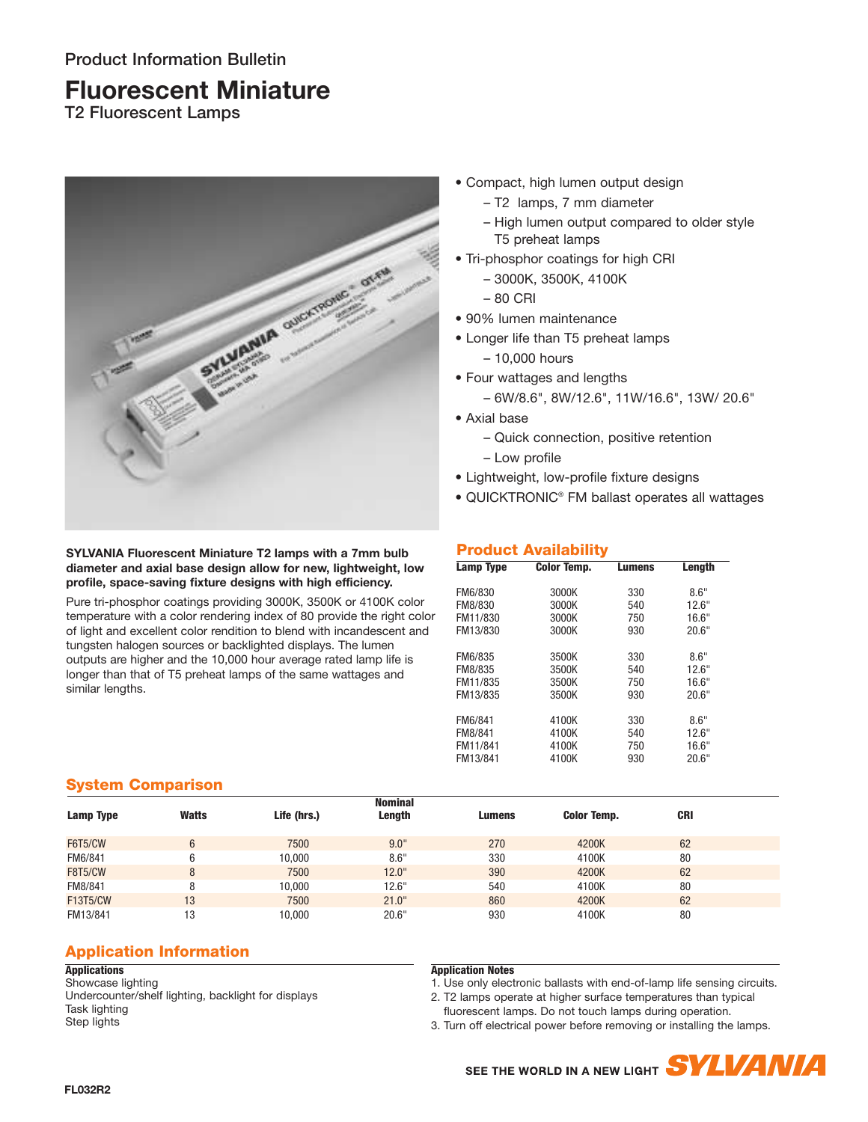# **Fluorescent Miniature**

**T2 Fluorescent Lamps**



- Compact, high lumen output design
	- T2 lamps, 7 mm diameter
	- High lumen output compared to older style T5 preheat lamps
- Tri-phosphor coatings for high CRI
	- 3000K, 3500K, 4100K
	- 80 CRI
- 90% lumen maintenance
- Longer life than T5 preheat lamps
	- 10,000 hours
- Four wattages and lengths
	- 6W/8.6", 8W/12.6", 11W/16.6", 13W/ 20.6"
- Axial base
	- Quick connection, positive retention
	- Low profile
- Lightweight, low-profile fixture designs
- QUICKTRONIC® FM ballast operates all wattages

#### **SYLVANIA Fluorescent Miniature T2 lamps with a 7mm bulb diameter and axial base design allow for new, lightweight, low profile, space-saving fixture designs with high efficiency.**

Pure tri-phosphor coatings providing 3000K, 3500K or 4100K color temperature with a color rendering index of 80 provide the right color of light and excellent color rendition to blend with incandescent and tungsten halogen sources or backlighted displays. The lumen outputs are higher and the 10,000 hour average rated lamp life is longer than that of T5 preheat lamps of the same wattages and similar lengths.

# **Product Availability**

| Lamp Type | <b>Color Temp.</b> | <b>Lumens</b> | Length |  |
|-----------|--------------------|---------------|--------|--|
| FM6/830   | 3000K              | 330           | 8.6"   |  |
| FM8/830   | 3000K              | 540           | 12.6"  |  |
| FM11/830  | 3000K              | 750           | 16.6"  |  |
| FM13/830  | 3000K              | 930           | 20.6"  |  |
| FM6/835   | 3500K              | 330           | 8.6"   |  |
| FM8/835   | 3500K              | 540           | 12.6"  |  |
| FM11/835  | 3500K              | 750           | 16.6"  |  |
| FM13/835  | 3500K              | 930           | 20.6"  |  |
| FM6/841   | 4100K              | 330           | 8.6"   |  |
| FM8/841   | 4100K              | 540           | 12.6"  |  |
| FM11/841  | 4100K              | 750           | 16.6"  |  |
| FM13/841  | 4100K              | 930           | 20.6"  |  |
|           |                    |               |        |  |

### **System Comparison**

| Lamp Type       | <b>Watts</b> | Life (hrs.) | <b>Nominal</b><br>Length | <b>Lumens</b> | <b>Color Temp.</b> | <b>CRI</b> |
|-----------------|--------------|-------------|--------------------------|---------------|--------------------|------------|
| <b>F6T5/CW</b>  | 6            | 7500        | 9.0"                     | 270           | 4200K              | 62         |
| FM6/841         |              | 10,000      | 8.6"                     | 330           | 4100K              | 80         |
| <b>F8T5/CW</b>  | 8            | 7500        | 12.0"                    | 390           | 4200K              | 62         |
| FM8/841         | 8            | 10,000      | 12.6"                    | 540           | 4100K              | 80         |
| <b>F13T5/CW</b> | 13           | 7500        | 21.0"                    | 860           | 4200K              | 62         |
| FM13/841        | 13           | 10,000      | 20.6"                    | 930           | 4100K              | 80         |
|                 |              |             |                          |               |                    |            |

# **Application Information**

#### **Applications**

Showcase lighting Undercounter/shelf lighting, backlight for displays Task lighting Step lights

### **Application Notes**

1. Use only electronic ballasts with end-of-lamp life sensing circuits.

2. T2 lamps operate at higher surface temperatures than typical

fluorescent lamps. Do not touch lamps during operation.

3. Turn off electrical power before removing or installing the lamps.